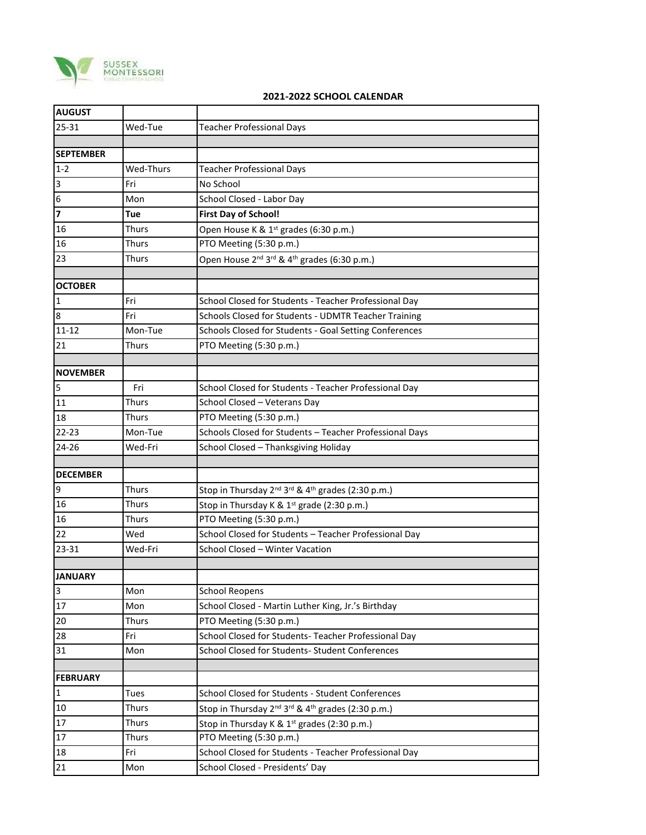

## **2021-2022 SCHOOL CALENDAR**

| <b>AUGUST</b>           |              |                                                                                       |
|-------------------------|--------------|---------------------------------------------------------------------------------------|
| $25 - 31$               | Wed-Tue      | <b>Teacher Professional Days</b>                                                      |
|                         |              |                                                                                       |
| <b>SEPTEMBER</b>        |              |                                                                                       |
| $1 - 2$                 | Wed-Thurs    | <b>Teacher Professional Days</b>                                                      |
| 3                       | Fri          | No School                                                                             |
| 6                       | Mon          | School Closed - Labor Day                                                             |
| $\overline{\mathbf{z}}$ | Tue          | <b>First Day of School!</b>                                                           |
| 16                      | Thurs        | Open House K & 1 <sup>st</sup> grades (6:30 p.m.)                                     |
| 16                      | Thurs        | PTO Meeting (5:30 p.m.)                                                               |
| 23                      | Thurs        | Open House 2 <sup>nd</sup> 3 <sup>rd</sup> & 4 <sup>th</sup> grades (6:30 p.m.)       |
| <b>OCTOBER</b>          |              |                                                                                       |
| $\mathbf 1$             | Fri          | School Closed for Students - Teacher Professional Day                                 |
| 8                       | Fri          | Schools Closed for Students - UDMTR Teacher Training                                  |
| $11 - 12$               | Mon-Tue      | Schools Closed for Students - Goal Setting Conferences                                |
| 21                      | Thurs        | PTO Meeting (5:30 p.m.)                                                               |
|                         |              |                                                                                       |
| <b>NOVEMBER</b>         |              |                                                                                       |
| 5                       | Fri          | School Closed for Students - Teacher Professional Day                                 |
| 11                      | Thurs        | School Closed - Veterans Day                                                          |
| 18                      | Thurs        | PTO Meeting (5:30 p.m.)                                                               |
| $22 - 23$               | Mon-Tue      | Schools Closed for Students - Teacher Professional Days                               |
| 24-26                   | Wed-Fri      | School Closed - Thanksgiving Holiday                                                  |
|                         |              |                                                                                       |
| <b>DECEMBER</b>         |              |                                                                                       |
| 9                       | <b>Thurs</b> | Stop in Thursday 2 <sup>nd</sup> 3 <sup>rd</sup> & 4 <sup>th</sup> grades (2:30 p.m.) |
| 16                      | Thurs        | Stop in Thursday K & 1 <sup>st</sup> grade (2:30 p.m.)                                |
| 16                      | Thurs        | PTO Meeting (5:30 p.m.)                                                               |
| 22                      | Wed          | School Closed for Students - Teacher Professional Day                                 |
| 23-31                   | Wed-Fri      | School Closed - Winter Vacation                                                       |
|                         |              |                                                                                       |
| <b>JANUARY</b>          |              |                                                                                       |
| $\mathbf{3}$            | Mon          | <b>School Reopens</b>                                                                 |
| 17                      | Mon          | School Closed - Martin Luther King, Jr.'s Birthday                                    |
| 20                      | Thurs        | PTO Meeting (5:30 p.m.)                                                               |
| 28                      | Fri          | School Closed for Students- Teacher Professional Day                                  |
| 31                      | Mon          | School Closed for Students- Student Conferences                                       |
| <b>FEBRUARY</b>         |              |                                                                                       |
| $\mathbf{1}$            | Tues         | School Closed for Students - Student Conferences                                      |
| $10\,$                  | Thurs        | Stop in Thursday 2 <sup>nd</sup> 3 <sup>rd</sup> & 4 <sup>th</sup> grades (2:30 p.m.) |
| 17                      | <b>Thurs</b> | Stop in Thursday K & 1st grades (2:30 p.m.)                                           |
| 17                      | Thurs        | PTO Meeting (5:30 p.m.)                                                               |
| 18                      | Fri          | School Closed for Students - Teacher Professional Day                                 |
| 21                      | Mon          | School Closed - Presidents' Day                                                       |
|                         |              |                                                                                       |